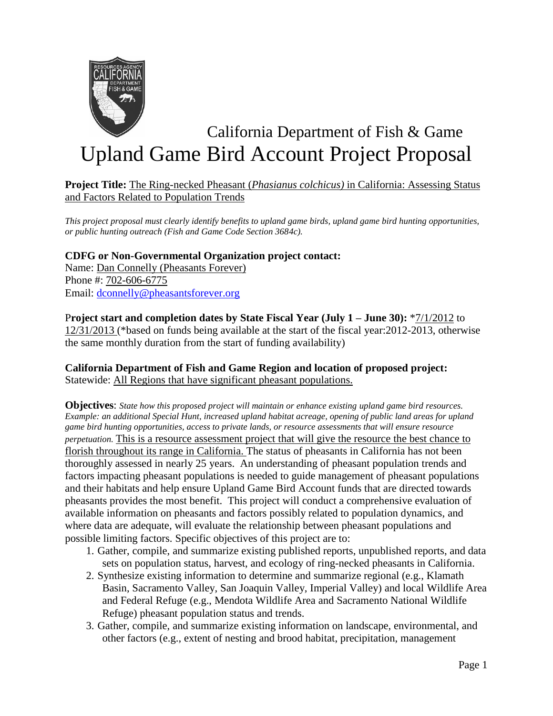

# California Department of Fish & Game Upland Game Bird Account Project Proposal

#### **Project Title:** The Ring-necked Pheasant (*Phasianus colchicus)* in California: Assessing Status and Factors Related to Population Trends

*This project proposal must clearly identify benefits to upland game birds, upland game bird hunting opportunities, or public hunting outreach (Fish and Game Code Section 3684c).*

## **CDFG or Non-Governmental Organization project contact:**

Name: Dan Connelly (Pheasants Forever) Phone #: 702-606-6775 Email: [dconnelly@pheasantsforever.org](mailto:dconnelly@pheasantsforever.org)

#### P**roject start and completion dates by State Fiscal Year (July 1 – June 30):** \*7/1/2012 to 12/31/2013 (\*based on funds being available at the start of the fiscal year:2012-2013, otherwise the same monthly duration from the start of funding availability)

### **California Department of Fish and Game Region and location of proposed project:** Statewide: All Regions that have significant pheasant populations.

**Objectives**: *State how this proposed project will maintain or enhance existing upland game bird resources. Example: an additional Special Hunt, increased upland habitat acreage, opening of public land areas for upland game bird hunting opportunities, access to private lands, or resource assessments that will ensure resource perpetuation.* This is a resource assessment project that will give the resource the best chance to florish throughout its range in California. The status of pheasants in California has not been thoroughly assessed in nearly 25 years. An understanding of pheasant population trends and factors impacting pheasant populations is needed to guide management of pheasant populations and their habitats and help ensure Upland Game Bird Account funds that are directed towards pheasants provides the most benefit. This project will conduct a comprehensive evaluation of available information on pheasants and factors possibly related to population dynamics, and where data are adequate, will evaluate the relationship between pheasant populations and possible limiting factors. Specific objectives of this project are to:

- 1. Gather, compile, and summarize existing published reports, unpublished reports, and data sets on population status, harvest, and ecology of ring-necked pheasants in California.
- 2. Synthesize existing information to determine and summarize regional (e.g., Klamath Basin, Sacramento Valley, San Joaquin Valley, Imperial Valley) and local Wildlife Area and Federal Refuge (e.g., Mendota Wildlife Area and Sacramento National Wildlife Refuge) pheasant population status and trends.
- 3. Gather, compile, and summarize existing information on landscape, environmental, and other factors (e.g., extent of nesting and brood habitat, precipitation, management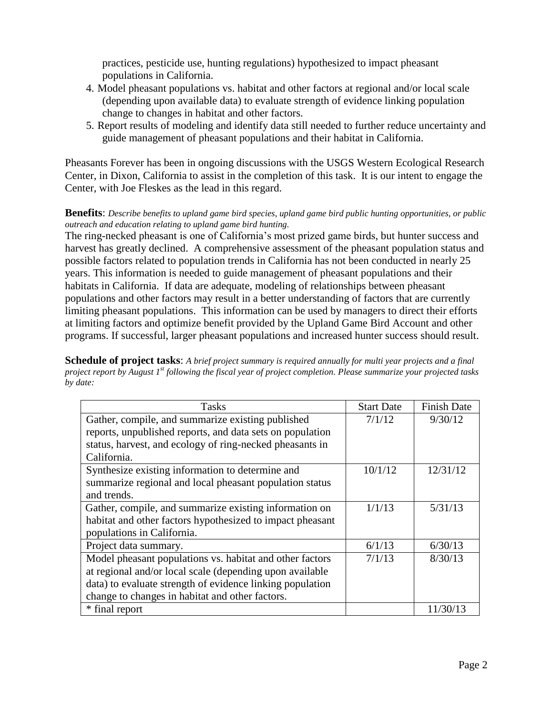practices, pesticide use, hunting regulations) hypothesized to impact pheasant populations in California.

- 4. Model pheasant populations vs. habitat and other factors at regional and/or local scale (depending upon available data) to evaluate strength of evidence linking population change to changes in habitat and other factors.
- 5. Report results of modeling and identify data still needed to further reduce uncertainty and guide management of pheasant populations and their habitat in California.

Pheasants Forever has been in ongoing discussions with the USGS Western Ecological Research Center, in Dixon, California to assist in the completion of this task. It is our intent to engage the Center, with Joe Fleskes as the lead in this regard.

#### **Benefits**: *Describe benefits to upland game bird species, upland game bird public hunting opportunities, or public outreach and education relating to upland game bird hunting.*

The ring-necked pheasant is one of California's most prized game birds, but hunter success and harvest has greatly declined. A comprehensive assessment of the pheasant population status and possible factors related to population trends in California has not been conducted in nearly 25 years. This information is needed to guide management of pheasant populations and their habitats in California. If data are adequate, modeling of relationships between pheasant populations and other factors may result in a better understanding of factors that are currently limiting pheasant populations. This information can be used by managers to direct their efforts at limiting factors and optimize benefit provided by the Upland Game Bird Account and other programs. If successful, larger pheasant populations and increased hunter success should result.

**Schedule of project tasks**: *A brief project summary is required annually for multi year projects and a final project report by August 1st following the fiscal year of project completion. Please summarize your projected tasks by date:*

| <b>Tasks</b>                                              | <b>Start Date</b> | <b>Finish Date</b> |
|-----------------------------------------------------------|-------------------|--------------------|
| Gather, compile, and summarize existing published         | 7/1/12            | 9/30/12            |
| reports, unpublished reports, and data sets on population |                   |                    |
| status, harvest, and ecology of ring-necked pheasants in  |                   |                    |
| California.                                               |                   |                    |
| Synthesize existing information to determine and          | 10/1/12           | 12/31/12           |
| summarize regional and local pheasant population status   |                   |                    |
| and trends.                                               |                   |                    |
| Gather, compile, and summarize existing information on    | 1/1/13            | 5/31/13            |
| habitat and other factors hypothesized to impact pheasant |                   |                    |
| populations in California.                                |                   |                    |
| Project data summary.                                     | 6/1/13            | 6/30/13            |
| Model pheasant populations vs. habitat and other factors  | 7/1/13            | 8/30/13            |
| at regional and/or local scale (depending upon available  |                   |                    |
| data) to evaluate strength of evidence linking population |                   |                    |
| change to changes in habitat and other factors.           |                   |                    |
| * final report                                            |                   | 11/30/13           |